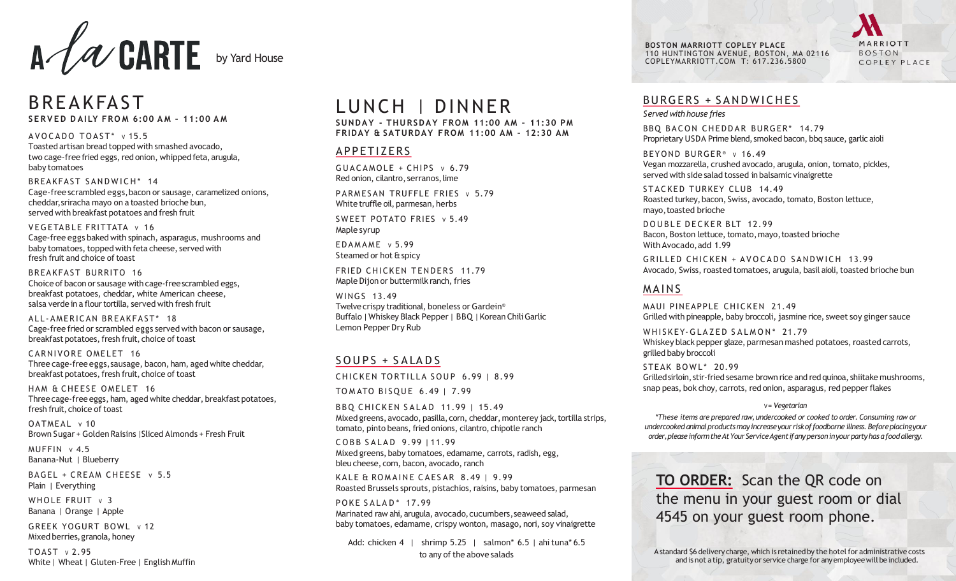

# **BREAKFAST S E R V E D D AI LY FRO M 6:00 A M – 11:00 A M**

 $AVOCADO TOAST* v15.5$ Toasted artisan bread topped with smashed avocado, two cage-free fried eggs, red onion, whipped feta, arugula, baby tomatoes

BREAKFAST SANDWICH\* 14 Cage-freescrambled eggs,bacon or sausage, caramelized onions, cheddar,sriracha mayo on a toasted brioche bun, served with breakfast potatoes and fresh fruit

VEGETABLE FRITTATA v 16 Cage-free eggs baked with spinach, asparagus, mushrooms and baby tomatoes, topped with feta cheese, served with fresh fruit and choice of toast

BREAKFAST BURRITO 16 Choice of bacon or sausage with cage-freescrambled eggs, breakfast potatoes, cheddar, white American cheese, salsa verde in a flour tortilla, served with fresh fruit

ALL-AMERICAN BREAKFAST\* 18 Cage-free fried or scrambled eggs served with bacon or sausage, breakfast potatoes, fresh fruit, choice of toast

CARNIVORE OMELET 16 Three cage-free eggs,sausage, bacon, ham, aged white cheddar, breakfast potatoes, fresh fruit, choice of toast

HAM & CHEESE OMELET 16 Three cage-free eggs, ham, aged white cheddar, breakfast potatoes, fresh fruit, choice of toast

OATMEAL v 10 Brown Sugar + GoldenRaisins |Sliced Almonds + Fresh Fruit

 $MUFFIN \vee 4.5$ Banana-Nut | Blueberry

BAGEL + CREAM CHEESE v 5.5 Plain | Everything

WHOLE FRUIT  $\vee$  3 Banana | Orange | Apple

GREEK YOGURT BOWL V 12 Mixed berries,granola, honey

 $TOAST \vee 2.95$ White | Wheat | Gluten-Free | English Muffin

# LUNCH | DINNER

**SUNDAY - THURSDAY FROM 11:00 AM – 11:30 PM FRIDAY & SATURDAY FROM 11:00 AM – 12:30 AM** 

#### APPETIZERS

 $GUACAMOLE + CHIPS v 6.79$ Red onion, cilantro, serranos, lime

PARMESAN TRUFFLE FRIES v 5.79 White truffle oil, parmesan, herbs

SWEET POTATO FRIES v 5.49 Maple syrup

 $EDAMAME \ v 5.99$ Steamed or hot & spicy

FRIED CHICKEN TENDERS 11.79 Maple Dijon or buttermilk ranch, fries

WINGS 13.49 Twelvecrispy traditional, boneless or Gardein® Buffalo | Whiskey Black Pepper | BBQ | Korean Chili Garlic Lemon Pepper Dry Rub

## SOUPS + SALADS

CHICKEN TORTILLA SOUP 6.99 | 8.99

TO MATO BISOUE 6.49 | 7.99

B B Q CHICKEN SALAD 11.99 | 15.49 Mixed greens, avocado, pasilla, corn, cheddar, monterey jack, tortilla strips, tomato, pinto beans, fried onions, cilantro, chipotle ranch

COBB SALAD 9.99 111.99 Mixed greens,baby tomatoes, edamame, carrots, radish, egg, bleu cheese, corn, bacon, avocado, ranch

KALE & ROMAINE CAESAR  $8.49$  | 9.99 Roasted Brussels sprouts, pistachios, raisins, baby tomatoes, parmesan

PO K E SALAD\* 17.99 Marinated raw ahi, arugula, avocado, cucumbers, seaweed salad, baby tomatoes, edamame, crispy wonton, masago, nori, soy vinaigrette

Add: chicken 4 | shrimp 5.25 | salmon\* 6.5 | ahi tuna\* 6.5 to any of the above salads

**BOSTON MARRIOTT COPLEY PLACE**  110 HUNTINGTON AVENUE, BOSTON, MA 02116 [COPLEYMARRIOTT.COM](http://COPLEYMARRIOTT.COM) T: 617.236.5800

MARRIOTT **BOSTON** COPLEY PLACE

# BURGERS + SANDWICHES

*Served withhouse fries* 

BBO BACON CHEDDAR BURGER\* 14.79 Proprietary USDA Prime blend, smoked bacon, bbq sauce, garlic aioli

BEYOND BURGER<sup>®</sup> v 16.49 Vegan mozzarella, crushed avocado, arugula, onion, tomato, pickles, served with side salad tossed in balsamic vinaigrette

STACKED TURKEY CLUB 14.49 Roasted turkey, bacon, Swiss, avocado, tomato, Boston lettuce, mayo,toasted brioche

DOUBLE DECKER BLT 12.99 Bacon, Boston lettuce, tomato, mayo, toasted brioche With Avocado,add 1.99

GRILLED CHICKEN + AVOCADO SANDWICH 13.99 Avocado, Swiss, roasted tomatoes, arugula, basil aioli, toasted brioche bun

# **MAINS**

MAUI PINEAPPLE CHICKEN 21.49 Grilled with pineapple, baby broccoli, jasmine rice, sweet soy ginger sauce

WHISKEY-GLAZED SALMON\* 21.79 Whiskey black pepper glaze, parmesan mashed potatoes, roasted carrots, grilled baby broccoli

STEAK BOWL\* 20.99 Grilled sirloin, stir-fried sesame brown rice and red quinoa, shiitake mushrooms, snap peas, bok choy, carrots, red onion, asparagus, red pepperflakes

#### V*= Vegetarian*

*\*These items are prepared raw, undercooked or cooked to order. Consuming raw or undercooked animalproductsmayincreaseyour riskof foodborne illness.Beforeplacingyour order,pleaseinformtheAtYour ServiceAgentifanypersoninyourpartyhas afoodallergy.* 

**TO ORDER:** Scan the QR code on the menu in your guest room or dial 4545 on your guest room phone.

A standard \$6 delivery charge, which is retained by the hotel for administrative costs and is not atip, gratuity or service charge for anyemployeewill be included.